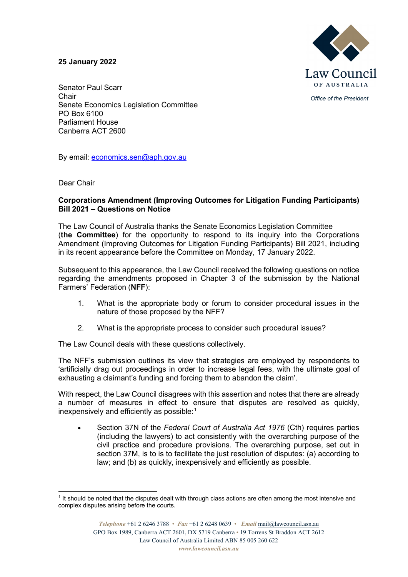## **25 January 2022**



*Office of the President*

Senator Paul Scarr **Chair** Senate Economics Legislation Committee PO Box 6100 Parliament House Canberra ACT 2600

By email: [economics.sen@aph.gov.au](mailto:economics.sen@aph.gov.au)

Dear Chair

## **Corporations Amendment (Improving Outcomes for Litigation Funding Participants) Bill 2021 – Questions on Notice**

The Law Council of Australia thanks the Senate Economics Legislation Committee (**the Committee**) for the opportunity to respond to its inquiry into the Corporations Amendment (Improving Outcomes for Litigation Funding Participants) Bill 2021, including in its recent appearance before the Committee on Monday, 17 January 2022.

Subsequent to this appearance, the Law Council received the following questions on notice regarding the amendments proposed in Chapter 3 of the submission by the National Farmers' Federation (**NFF**):

- 1. What is the appropriate body or forum to consider procedural issues in the nature of those proposed by the NFF?
- 2. What is the appropriate process to consider such procedural issues?

The Law Council deals with these questions collectively.

The NFF's submission outlines its view that strategies are employed by respondents to 'artificially drag out proceedings in order to increase legal fees, with the ultimate goal of exhausting a claimant's funding and forcing them to abandon the claim'.

With respect, the Law Council disagrees with this assertion and notes that there are already a number of measures in effect to ensure that disputes are resolved as quickly, inexpensively and efficiently as possible: $^{\rm 1}$  $^{\rm 1}$  $^{\rm 1}$ 

• Section 37N of the *Federal Court of Australia Act 1976* (Cth) requires parties (including the lawyers) to act consistently with the overarching purpose of the civil practice and procedure provisions. The overarching purpose, set out in section 37M, is to is to facilitate the just resolution of disputes: (a) according to law; and (b) as quickly, inexpensively and efficiently as possible.

<span id="page-0-0"></span><sup>&</sup>lt;sup>1</sup> It should be noted that the disputes dealt with through class actions are often among the most intensive and complex disputes arising before the courts.